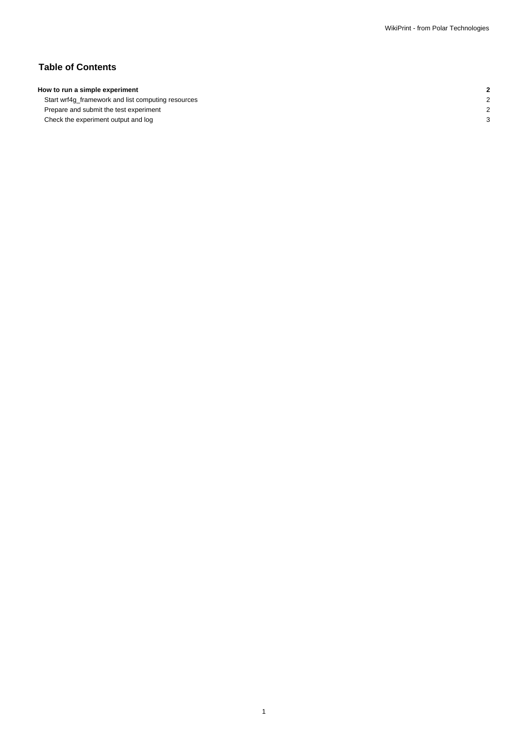# **Table of Contents**

## **How to run a simple experiment 2**

Start wrf4g\_framework and list computing resources 2 Prepare and submit the test experiment 2 Check the experiment output and log 3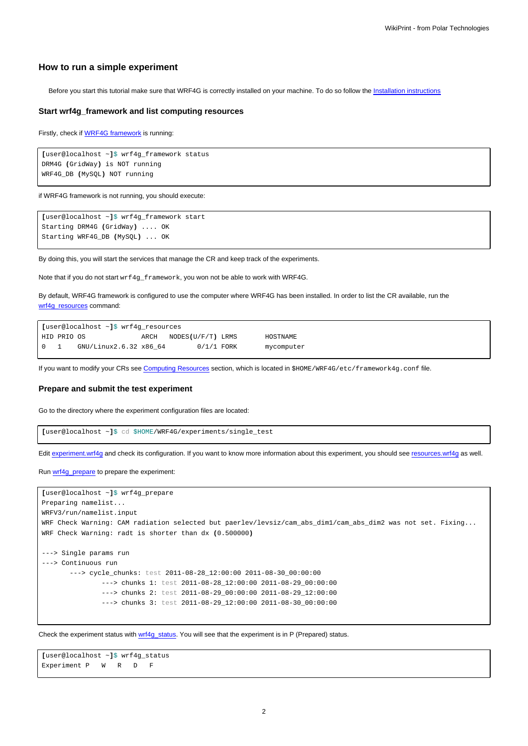### **How to run a simple experiment**

Before you start this tutorial make sure that WRF4G is correctly installed on your machine. To do so follow the [Installation instructions](https://meteo.unican.es/trac/wiki/WRF4GInstall)

#### **Start wrf4g\_framework and list computing resources**

Firstly, check if [WRF4G framework](https://meteo.unican.es/trac/wiki/WRF4GFrameworkConfiguration) is running:

```
[user@localhost ~]$ wrf4g_framework status
DRM4G (GridWay) is NOT running
WRF4G_DB (MySQL) NOT running
```
if WRF4G framework is not running, you should execute:

```
[user@localhost ~]$ wrf4g_framework start
Starting DRM4G (GridWay) .... OK
Starting WRF4G_DB (MySQL) ... OK
```
By doing this, you will start the services that manage the CR and keep track of the experiments.

Note that if you do not start wrf4g\_framework, you won not be able to work with WRF4G.

By default, WRF4G framework is configured to use the computer where WRF4G has been installed. In order to list the CR available, run the [wrf4g\\_resources](https://meteo.unican.es/trac/wiki/WRF4GCommandLineTools#wrf4g_resources) command:

```
[user@localhost ~]$ wrf4g_resources
HID PRIO OS ARCH NODES(U/F/T) LRMS HOSTNAME
0 1 GNU/Linux2.6.32 x86_64 0/1/1 FORK mycomputer
```
If you want to modify your CRs see [Computing Resources](https://meteo.unican.es/trac/wiki/WRF4Gframework4g_conf#ComputingResources) section, which is located in \$HOME/WRF4G/etc/framework4g.conf file.

#### **Prepare and submit the test experiment**

Go to the directory where the experiment configuration files are located:

```
[user@localhost ~]$ cd $HOME/WRF4G/experiments/single_test
```
Edit [experiment.wrf4g](https://meteo.unican.es/trac/wiki/WRF4Gexperiment_wrf4g) and check its configuration. If you want to know more information about this experiment, you should see [resources.wrf4g](https://meteo.unican.es/trac/wiki/WRF4Gresources_wrf4g) as well.

Run [wrf4g\\_prepare](https://meteo.unican.es/trac/wiki/WRF4GCommandLineTools#wrf4g_prepare) to prepare the experiment:

```
[user@localhost ~]$ wrf4g_prepare
Preparing namelist...
WRFV3/run/namelist.input
WRF Check Warning: CAM radiation selected but paerlev/levsiz/cam_abs_dim1/cam_abs_dim2 was not set. Fixing...
WRF Check Warning: radt is shorter than dx (0.500000)
---> Single params run
---> Continuous run
       ---> cycle_chunks: test 2011-08-28_12:00:00 2011-08-30_00:00:00
               ---> chunks 1: test 2011-08-28_12:00:00 2011-08-29_00:00:00
               ---> chunks 2: test 2011-08-29_00:00:00 2011-08-29_12:00:00
               ---> chunks 3: test 2011-08-29_12:00:00 2011-08-30_00:00:00
```
Check the experiment status with [wrf4g\\_status.](https://meteo.unican.es/trac/wiki/WRF4GCommandLineTools#wrf4g_status) You will see that the experiment is in P (Prepared) status.

```
[user@localhost ~]$ wrf4g_status
Experiment P W R D F
```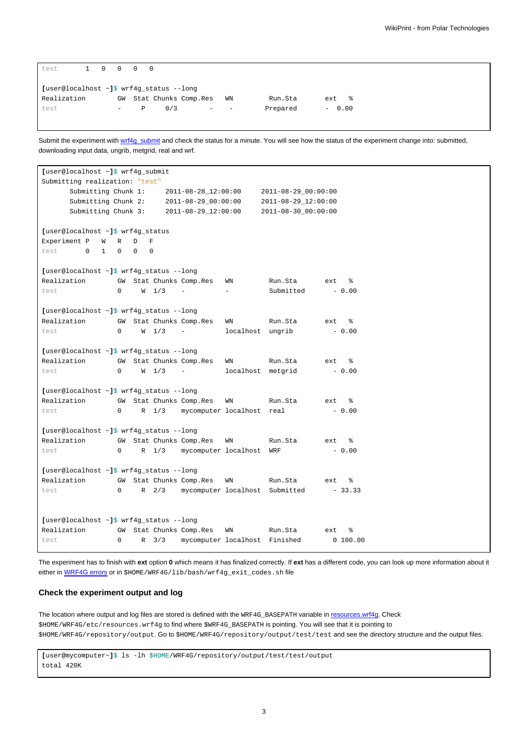| test                                           |  |  |                          | 1 0 0 0 0 |     |                      |    |          |          |
|------------------------------------------------|--|--|--------------------------|-----------|-----|----------------------|----|----------|----------|
| [user@localhost $\sim$ ]\$ wrf4g_status --long |  |  |                          |           |     |                      |    |          |          |
| Realization                                    |  |  | GW                       |           |     | Stat Chunks Comp.Res | WN | Run.Sta  | 昙<br>ext |
| test                                           |  |  | $\overline{\phantom{0}}$ | P         | 0/3 | -                    |    | Prepared | $-0.00$  |

Submit the experiment with [wrf4g\\_submit](https://meteo.unican.es/trac/wiki/WRF4GCommandLineTools#wrf4g_submit) and check the status for a minute. You will see how the status of the experiment change into: submitted, downloading input data, ungrib, metgrid, real and wrf.

```
[user@localhost ~]$ wrf4g_submit
Submitting realization: "test"
     Submitting Chunk 1: 2011-08-28_12:00:00 2011-08-29_00:00:00
     Submitting Chunk 2: 2011-08-29_00:00:00 2011-08-29_12:00:00
     Submitting Chunk 3: 2011-08-29_12:00:00 2011-08-30_00:00:00
[user@localhost ~]$ wrf4g_status
Experiment P W R D F
test 0 1 0 0 0
[user@localhost ~]$ wrf4g_status --long
Realization GW Stat Chunks Comp.Res WN Run.Sta ext %
test 0 W 1/3 - - Submitted - 0.00
[user@localhost ~]$ wrf4g_status --long
Realization GW Stat Chunks Comp.Res WN Run.Sta ext %
test 0 \tW 1/3 - localhost ungrib - 0.00
[user@localhost ~]$ wrf4g_status --long
Realization GW Stat Chunks Comp.Res WN Run.Sta ext %
test 0 W 1/3 - localhost metgrid - 0.00
[user@localhost ~]$ wrf4g_status --long
Realization GW Stat Chunks Comp.Res WN Run.Sta ext %
test 0 R 1/3 mycomputer localhost real - 0.00
[user@localhost ~]$ wrf4g_status --long
Realization GW Stat Chunks Comp.Res WN Run.Sta ext %
test 0 R 1/3 mycomputer localhost WRF - 0.00
[user@localhost ~]$ wrf4g_status --long
Realization GW Stat Chunks Comp.Res WN Run.Sta ext %
test 0 R 2/3 mycomputer localhost Submitted - 33.33
[user@localhost ~]$ wrf4g_status --long
Realization GW Stat Chunks Comp.Res WN Run.Sta ext \frac{1}{8}<br>test 0 R 3/3 mycomputer localhost Finished 0 100.00
test 0 R 3/3 mycomputer localhost Finished
```
The experiment has to finish with **ext** option **0** which means it has finalized correctly. If **ext** has a different code, you can look up more information about it either in [WRF4G errors](https://meteo.unican.es/trac/wiki/WRF4GErrors) or in \$HOME/WRF4G/lib/bash/wrf4g\_exit\_codes.sh file

#### **Check the experiment output and log**

The location where output and log files are stored is defined with the WRF4G\_BASEPATH variable in [resources.wrf4g.](https://meteo.unican.es/trac/wiki/WRF4Gresources_wrf4g) Check \$HOME/WRF4G/etc/resources.wrf4g to find where \$WRF4G\_BASEPATH is pointing. You will see that it is pointing to \$HOME/WRF4G/repository/output. Go to \$HOME/WRF4G/repository/output/test/test and see the directory structure and the output files.

**[**user@mycomputer~**]**\$ ls -lh \$HOME/WRF4G/repository/output/test/test/output total 420K